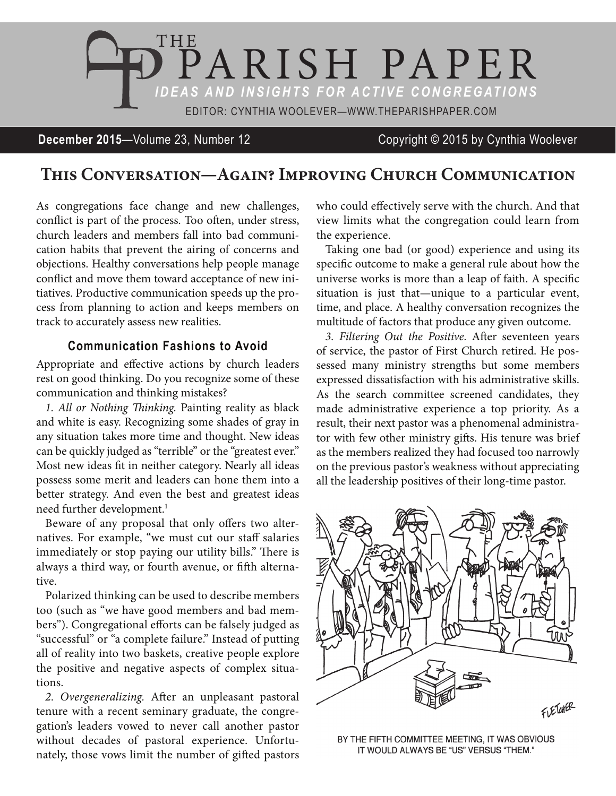

**December 2015**—Volume 23, Number 12 Copyright © 2015 by Cynthia Woolever

## **This Conversation—Again? Improving Church Communication**

As congregations face change and new challenges, conflict is part of the process. Too often, under stress, church leaders and members fall into bad communication habits that prevent the airing of concerns and objections. Healthy conversations help people manage conflict and move them toward acceptance of new initiatives. Productive communication speeds up the process from planning to action and keeps members on track to accurately assess new realities.

## **Communication Fashions to Avoid**

Appropriate and effective actions by church leaders rest on good thinking. Do you recognize some of these communication and thinking mistakes?

*1. All or Nothing Thinking.* Painting reality as black and white is easy. Recognizing some shades of gray in any situation takes more time and thought. New ideas can be quickly judged as "terrible" or the "greatest ever." Most new ideas fit in neither category. Nearly all ideas possess some merit and leaders can hone them into a better strategy. And even the best and greatest ideas need further development.<sup>1</sup>

Beware of any proposal that only offers two alternatives. For example, "we must cut our staff salaries immediately or stop paying our utility bills." There is always a third way, or fourth avenue, or fifth alternative.

Polarized thinking can be used to describe members too (such as "we have good members and bad members"). Congregational efforts can be falsely judged as "successful" or "a complete failure." Instead of putting all of reality into two baskets, creative people explore the positive and negative aspects of complex situations.

*2. Overgeneralizing.* After an unpleasant pastoral tenure with a recent seminary graduate, the congregation's leaders vowed to never call another pastor without decades of pastoral experience. Unfortunately, those vows limit the number of gifted pastors who could effectively serve with the church. And that view limits what the congregation could learn from the experience.

Taking one bad (or good) experience and using its specific outcome to make a general rule about how the universe works is more than a leap of faith. A specific situation is just that—unique to a particular event, time, and place. A healthy conversation recognizes the multitude of factors that produce any given outcome.

*3. Filtering Out the Positive.* After seventeen years of service, the pastor of First Church retired. He possessed many ministry strengths but some members expressed dissatisfaction with his administrative skills. As the search committee screened candidates, they made administrative experience a top priority. As a result, their next pastor was a phenomenal administrator with few other ministry gifts. His tenure was brief as the members realized they had focused too narrowly on the previous pastor's weakness without appreciating all the leadership positives of their long-time pastor.



BY THE FIFTH COMMITTEE MEETING, IT WAS OBVIOUS IT WOULD ALWAYS BE "US" VERSUS "THEM."